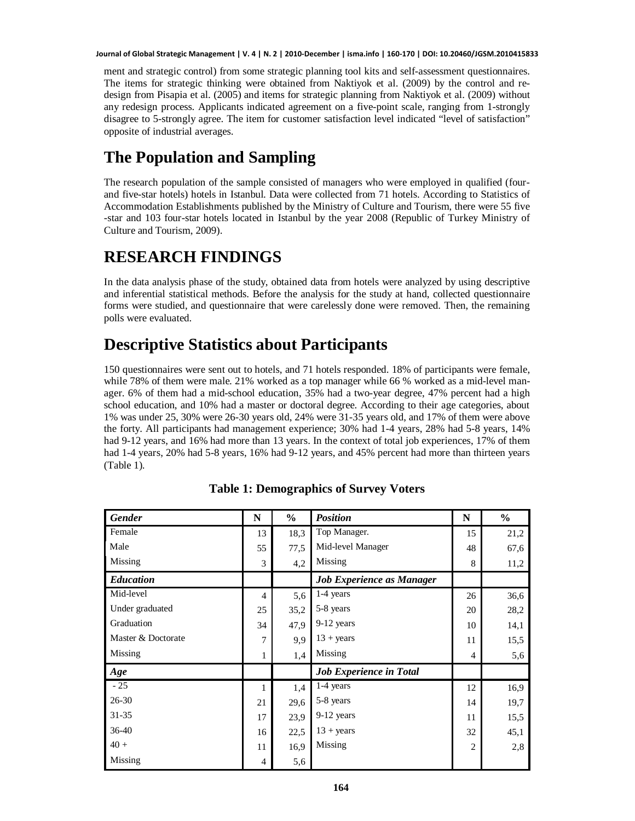**Journal of Global Strategic Management | V. 4 | N. 2 | 2010-December | isma.info | 160-170 | DOI: 10.20460/JGSM.2010415833**

ment and strategic control) from some strategic planning tool kits and self-assessment questionnaires. The items for strategic thinking were obtained from Naktiyok et al. (2009) by the control and redesign from Pisapia et al. (2005) and items for strategic planning from Naktiyok et al. (2009) without any redesign process. Applicants indicated agreement on a five-point scale, ranging from 1-strongly disagree to 5-strongly agree. The item for customer satisfaction level indicated "level of satisfaction" opposite of industrial averages.

## **The Population and Sampling**

The research population of the sample consisted of managers who were employed in qualified (fourand five-star hotels) hotels in Istanbul. Data were collected from 71 hotels. According to Statistics of Accommodation Establishments published by the Ministry of Culture and Tourism, there were 55 five -star and 103 four-star hotels located in Istanbul by the year 2008 (Republic of Turkey Ministry of Culture and Tourism, 2009).

### **RESEARCH FINDINGS**

In the data analysis phase of the study, obtained data from hotels were analyzed by using descriptive and inferential statistical methods. Before the analysis for the study at hand, collected questionnaire forms were studied, and questionnaire that were carelessly done were removed. Then, the remaining polls were evaluated.

# **Descriptive Statistics about Participants**

150 questionnaires were sent out to hotels, and 71 hotels responded. 18% of participants were female, while 78% of them were male. 21% worked as a top manager while 66 % worked as a mid-level manager. 6% of them had a mid-school education, 35% had a two-year degree, 47% percent had a high school education, and 10% had a master or doctoral degree. According to their age categories, about 1% was under 25, 30% were 26-30 years old, 24% were 31-35 years old, and 17% of them were above the forty. All participants had management experience; 30% had 1-4 years, 28% had 5-8 years, 14% had 9-12 years, and 16% had more than 13 years. In the context of total job experiences, 17% of them had 1-4 years, 20% had 5-8 years, 16% had 9-12 years, and 45% percent had more than thirteen years (Table 1).

| <b>Gender</b>      | $\mathbb{N}$   | $\frac{0}{0}$ | <b>Position</b>                  | N              | $\frac{0}{0}$ |
|--------------------|----------------|---------------|----------------------------------|----------------|---------------|
| Female             | 13             | 18,3          | Top Manager.                     | 15             | 21,2          |
| Male               | 55             | 77,5          | Mid-level Manager                | 48             | 67,6          |
| Missing            | 3              | 4,2           | Missing                          | 8              | 11,2          |
| <b>Education</b>   |                |               | <b>Job Experience as Manager</b> |                |               |
| Mid-level          | $\overline{4}$ | 5,6           | 1-4 years                        | 26             | 36,6          |
| Under graduated    | 25             | 35,2          | 5-8 years                        | 20             | 28,2          |
| Graduation         | 34             | 47,9          | $9-12$ years                     | 10             | 14,1          |
| Master & Doctorate | $\tau$         | 9,9           | $13 + \text{years}$              | 11             | 15,5          |
| Missing            | 1              | 1,4           | Missing                          | $\overline{4}$ | 5,6           |
| Age                |                |               | <b>Job Experience in Total</b>   |                |               |
| $-25$              | $\mathbf{1}$   | 1,4           | 1-4 years                        | 12             | 16,9          |
| 26-30              | 21             | 29,6          | 5-8 years                        | 14             | 19,7          |
| 31-35              | 17             | 23,9          | $9-12$ years                     | 11             | 15,5          |
| 36-40              | 16             | 22,5          | $13 + \text{years}$              | 32             | 45,1          |
| $40 +$             | 11             | 16,9          | Missing                          | $\overline{2}$ | 2,8           |
| Missing            | 4              | 5,6           |                                  |                |               |

**Table 1: Demographics of Survey Voters**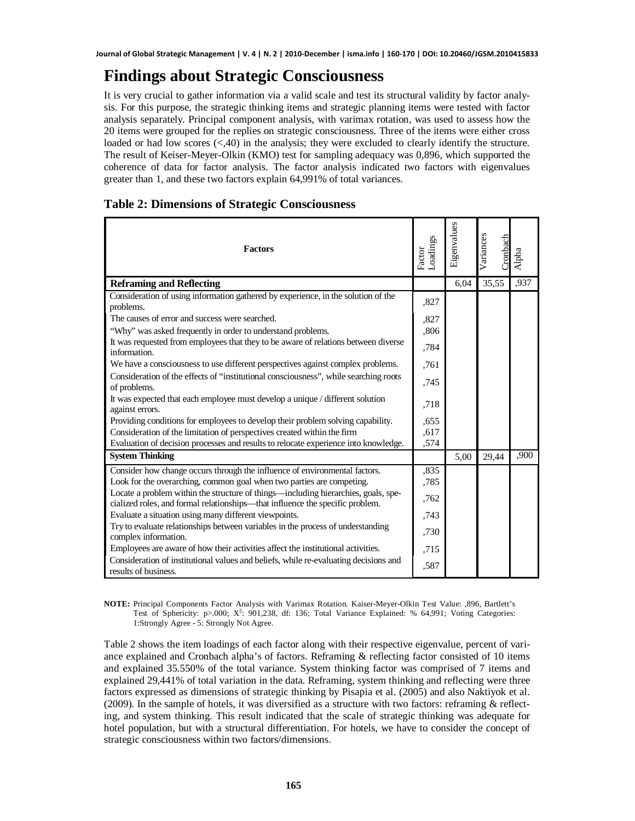# **Findings about Strategic Consciousness**

It is very crucial to gather information via a valid scale and test its structural validity by factor analysis. For this purpose, the strategic thinking items and strategic planning items were tested with factor analysis separately. Principal component analysis, with varimax rotation, was used to assess how the 20 items were grouped for the replies on strategic consciousness. Three of the items were either cross loaded or had low scores  $\langle \langle 40 \rangle$  in the analysis; they were excluded to clearly identify the structure. The result of Keiser-Meyer-Olkin (KMO) test for sampling adequacy was 0,896, which supported the coherence of data for factor analysis. The factor analysis indicated two factors with eigenvalues greater than 1, and these two factors explain 64,991% of total variances.

|  |  |  | <b>Table 2: Dimensions of Strategic Consciousness</b> |
|--|--|--|-------------------------------------------------------|
|--|--|--|-------------------------------------------------------|

| <b>Factors</b>                                                                                                                                                      | Loadings<br>Factor | Eigenvalues | Variances<br>Cronbach | Alpha |
|---------------------------------------------------------------------------------------------------------------------------------------------------------------------|--------------------|-------------|-----------------------|-------|
| <b>Reframing and Reflecting</b>                                                                                                                                     |                    | 6.04        | 35,55                 | ,937  |
| Consideration of using information gathered by experience, in the solution of the<br>problems.                                                                      | ,827               |             |                       |       |
| The causes of error and success were searched.                                                                                                                      | ,827               |             |                       |       |
| "Why" was asked frequently in order to understand problems.                                                                                                         | ,806               |             |                       |       |
| It was requested from employees that they to be aware of relations between diverse<br>information.                                                                  | ,784               |             |                       |       |
| We have a consciousness to use different perspectives against complex problems.                                                                                     | .761               |             |                       |       |
| Consideration of the effects of "institutional consciousness", while searching roots<br>of problems.                                                                | ,745               |             |                       |       |
| It was expected that each employee must develop a unique / different solution<br>against errors.                                                                    | .718               |             |                       |       |
| Providing conditions for employees to develop their problem solving capability.                                                                                     | ,655               |             |                       |       |
| Consideration of the limitation of perspectives created within the firm                                                                                             | ,617               |             |                       |       |
| Evaluation of decision processes and results to relocate experience into knowledge.                                                                                 | ,574               |             |                       |       |
| <b>System Thinking</b>                                                                                                                                              |                    | 5,00        | 29,44                 | ,900  |
| Consider how change occurs through the influence of environmental factors.                                                                                          | .835               |             |                       |       |
| Look for the overarching, common goal when two parties are competing.                                                                                               | ,785               |             |                       |       |
| Locate a problem within the structure of things—including hierarchies, goals, spe-<br>cialized roles, and formal relationships—that influence the specific problem. | ,762               |             |                       |       |
| Evaluate a situation using many different viewpoints.                                                                                                               | .743               |             |                       |       |
| Try to evaluate relationships between variables in the process of understanding<br>complex information.                                                             | ,730               |             |                       |       |
| Employees are aware of how their activities affect the institutional activities.                                                                                    | .715               |             |                       |       |
| Consideration of institutional values and beliefs, while re-evaluating decisions and<br>results of business.                                                        | ,587               |             |                       |       |

**NOTE:** Principal Components Factor Analysis with Varimax Rotation. Kaiser-Meyer-Olkin Test Value: ,896, Bartlett's Test of Sphericity:  $p > 0.000$ ;  $X^2$ : 901,238, df: 136; Total Variance Explained: % 64,991; Voting Categories: 1:Strongly Agree - 5: Strongly Not Agree.

Table 2 shows the item loadings of each factor along with their respective eigenvalue, percent of variance explained and Cronbach alpha's of factors. Reframing & reflecting factor consisted of 10 items and explained 35.550% of the total variance. System thinking factor was comprised of 7 items and explained 29,441% of total variation in the data. Reframing, system thinking and reflecting were three factors expressed as dimensions of strategic thinking by Pisapia et al. (2005) and also Naktiyok et al. (2009). In the sample of hotels, it was diversified as a structure with two factors: reframing & reflecting, and system thinking. This result indicated that the scale of strategic thinking was adequate for hotel population, but with a structural differentiation. For hotels, we have to consider the concept of strategic consciousness within two factors/dimensions.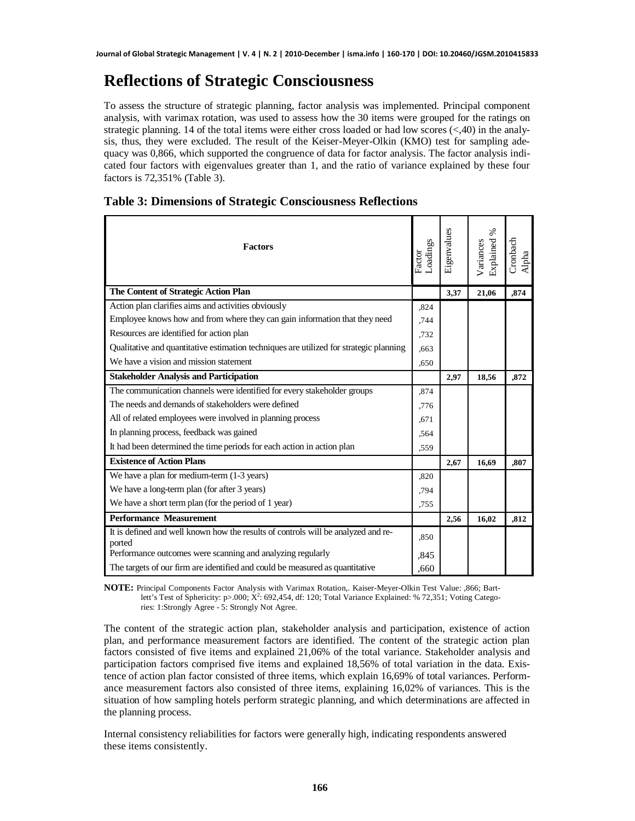#### **Reflections of Strategic Consciousness**

To assess the structure of strategic planning, factor analysis was implemented. Principal component analysis, with varimax rotation, was used to assess how the 30 items were grouped for the ratings on strategic planning. 14 of the total items were either cross loaded or had low scores  $(<,40$ ) in the analysis, thus, they were excluded. The result of the Keiser-Meyer-Olkin (KMO) test for sampling adequacy was 0,866, which supported the congruence of data for factor analysis. The factor analysis indicated four factors with eigenvalues greater than 1, and the ratio of variance explained by these four factors is 72,351% (Table 3).

| <b>Factors</b>                                                                              | Loadings<br>Factor | Eigenvalues | ℅<br>Explained<br>Variances | Cronbach<br>Alpha |
|---------------------------------------------------------------------------------------------|--------------------|-------------|-----------------------------|-------------------|
| The Content of Strategic Action Plan                                                        |                    | 3,37        | 21,06                       | ,874              |
| Action plan clarifies aims and activities obviously                                         | ,824               |             |                             |                   |
| Employee knows how and from where they can gain information that they need                  | .744               |             |                             |                   |
| Resources are identified for action plan                                                    | ,732               |             |                             |                   |
| Qualitative and quantitative estimation techniques are utilized for strategic planning      | .663               |             |                             |                   |
| We have a vision and mission statement                                                      | ,650               |             |                             |                   |
| <b>Stakeholder Analysis and Participation</b>                                               |                    | 2,97        | 18,56                       | ,872              |
| The communication channels were identified for every stakeholder groups                     | ,874               |             |                             |                   |
| The needs and demands of stakeholders were defined                                          | .776               |             |                             |                   |
| All of related employees were involved in planning process                                  | .671               |             |                             |                   |
| In planning process, feedback was gained                                                    | .564               |             |                             |                   |
| It had been determined the time periods for each action in action plan                      | .559               |             |                             |                   |
| <b>Existence of Action Plans</b>                                                            |                    | 2,67        | 16,69                       | ,807              |
| We have a plan for medium-term (1-3 years)                                                  | ,820               |             |                             |                   |
| We have a long-term plan (for after 3 years)                                                | ,794               |             |                             |                   |
| We have a short term plan (for the period of 1 year)                                        | ,755               |             |                             |                   |
| <b>Performance Measurement</b>                                                              |                    | 2,56        | 16,02                       | ,812              |
| It is defined and well known how the results of controls will be analyzed and re-<br>ported | ,850               |             |                             |                   |
| Performance outcomes were scanning and analyzing regularly                                  | ,845               |             |                             |                   |
| The targets of our firm are identified and could be measured as quantitative                | ,660               |             |                             |                   |

**NOTE:** Principal Components Factor Analysis with Varimax Rotation,. Kaiser-Meyer-Olkin Test Value: ,866; Bartlett's Test of Sphericity: p>.000; X<sup>2</sup>: 692,454, df: 120; Total Variance Explained: % 72,351; Voting Categories: 1:Strongly Agree - 5: Strongly Not Agree.

The content of the strategic action plan, stakeholder analysis and participation, existence of action plan, and performance measurement factors are identified. The content of the strategic action plan factors consisted of five items and explained 21,06% of the total variance. Stakeholder analysis and participation factors comprised five items and explained 18,56% of total variation in the data. Existence of action plan factor consisted of three items, which explain 16,69% of total variances. Performance measurement factors also consisted of three items, explaining 16,02% of variances. This is the situation of how sampling hotels perform strategic planning, and which determinations are affected in the planning process.

Internal consistency reliabilities for factors were generally high, indicating respondents answered these items consistently.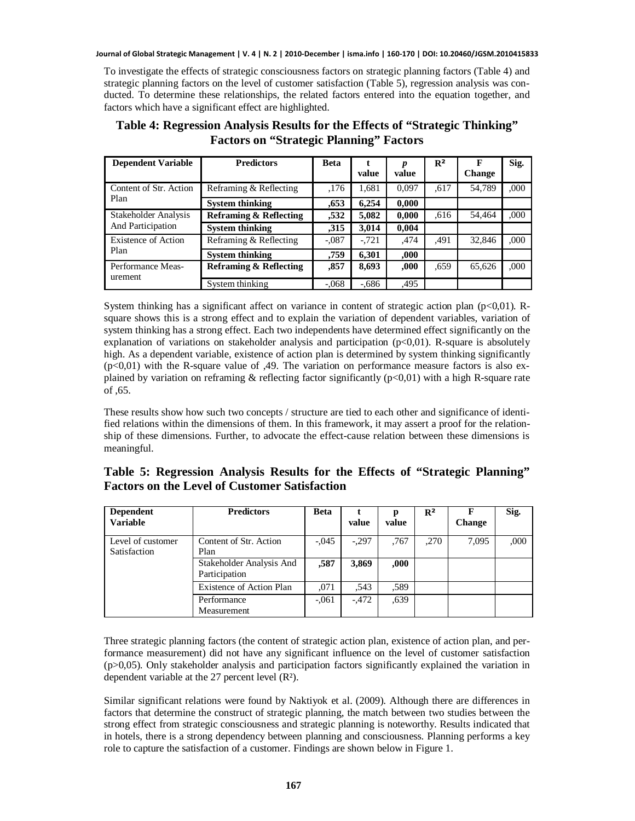**Journal of Global Strategic Management | V. 4 | N. 2 | 2010-December | isma.info | 160-170 | DOI: 10.20460/JGSM.2010415833**

To investigate the effects of strategic consciousness factors on strategic planning factors (Table 4) and strategic planning factors on the level of customer satisfaction (Table 5), regression analysis was conducted. To determine these relationships, the related factors entered into the equation together, and factors which have a significant effect are highlighted.

| <b>Dependent Variable</b>    | <b>Predictors</b>                 | <b>Beta</b> | value   | p<br>value | $R^2$ | F<br><b>Change</b> | Sig. |
|------------------------------|-----------------------------------|-------------|---------|------------|-------|--------------------|------|
| Content of Str. Action       | Reframing & Reflecting            | .176        | 1.681   | 0.097      | .617  | 54,789             | .000 |
| Plan                         | <b>System thinking</b>            | .653        | 6.254   | 0.000      |       |                    |      |
| Stakeholder Analysis         | <b>Reframing &amp; Reflecting</b> | ,532        | 5,082   | 0.000      | .616  | 54,464             | ,000 |
| And Participation            | <b>System thinking</b>            | ,315        | 3,014   | 0,004      |       |                    |      |
| Existence of Action          | Reframing & Reflecting            | $-.087$     | $-.721$ | .474       | .491  | 32,846             | ,000 |
| Plan                         | <b>System thinking</b>            | .759        | 6.301   | .000       |       |                    |      |
| Performance Meas-<br>urement | <b>Reframing &amp; Reflecting</b> | .857        | 8,693   | .000       | .659  | 65,626             | .000 |
|                              | System thinking                   | $-.068$     | $-686$  | .495       |       |                    |      |

**Table 4: Regression Analysis Results for the Effects of "Strategic Thinking" Factors on "Strategic Planning" Factors**

System thinking has a significant affect on variance in content of strategic action plan ( $p<0.01$ ). Rsquare shows this is a strong effect and to explain the variation of dependent variables, variation of system thinking has a strong effect. Each two independents have determined effect significantly on the explanation of variations on stakeholder analysis and participation  $(p<0,01)$ . R-square is absolutely high. As a dependent variable, existence of action plan is determined by system thinking significantly  $(p<0,01)$  with the R-square value of ,49. The variation on performance measure factors is also explained by variation on reframing & reflecting factor significantly  $(p<0,01)$  with a high R-square rate of ,65.

These results show how such two concepts / structure are tied to each other and significance of identified relations within the dimensions of them. In this framework, it may assert a proof for the relationship of these dimensions. Further, to advocate the effect-cause relation between these dimensions is meaningful.

| Table 5: Regression Analysis Results for the Effects of "Strategic Planning" |  |  |  |  |
|------------------------------------------------------------------------------|--|--|--|--|
| <b>Factors on the Level of Customer Satisfaction</b>                         |  |  |  |  |

| <b>Dependent</b><br><b>Variable</b> | <b>Predictors</b>                         | <b>Beta</b> | value   | value | $R^2$ | Change | Sig. |
|-------------------------------------|-------------------------------------------|-------------|---------|-------|-------|--------|------|
| Level of customer<br>Satisfaction   | Content of Str. Action<br>Plan            | $-.045$     | $-.297$ | .767  | .270  | 7.095  | ,000 |
|                                     | Stakeholder Analysis And<br>Participation | ,587        | 3,869   | .000  |       |        |      |
|                                     | Existence of Action Plan                  | .071        | .543    | ,589  |       |        |      |
|                                     | Performance<br>Measurement                | $-.061$     | $-472$  | .639  |       |        |      |

Three strategic planning factors (the content of strategic action plan, existence of action plan, and performance measurement) did not have any significant influence on the level of customer satisfaction  $(p>0,05)$ . Only stakeholder analysis and participation factors significantly explained the variation in dependent variable at the 27 percent level (R²).

Similar significant relations were found by Naktiyok et al. (2009). Although there are differences in factors that determine the construct of strategic planning, the match between two studies between the strong effect from strategic consciousness and strategic planning is noteworthy. Results indicated that in hotels, there is a strong dependency between planning and consciousness. Planning performs a key role to capture the satisfaction of a customer. Findings are shown below in Figure 1.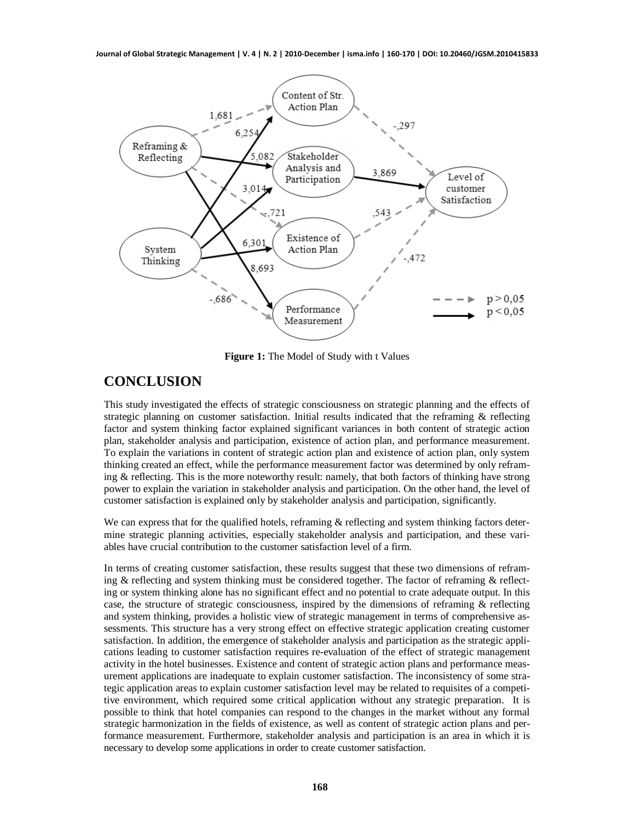

**Figure 1:** The Model of Study with t Values

#### **CONCLUSION**

This study investigated the effects of strategic consciousness on strategic planning and the effects of strategic planning on customer satisfaction. Initial results indicated that the reframing & reflecting factor and system thinking factor explained significant variances in both content of strategic action plan, stakeholder analysis and participation, existence of action plan, and performance measurement. To explain the variations in content of strategic action plan and existence of action plan, only system thinking created an effect, while the performance measurement factor was determined by only reframing & reflecting. This is the more noteworthy result: namely, that both factors of thinking have strong power to explain the variation in stakeholder analysis and participation. On the other hand, the level of customer satisfaction is explained only by stakeholder analysis and participation, significantly.

We can express that for the qualified hotels, reframing & reflecting and system thinking factors determine strategic planning activities, especially stakeholder analysis and participation, and these variables have crucial contribution to the customer satisfaction level of a firm.

In terms of creating customer satisfaction, these results suggest that these two dimensions of reframing & reflecting and system thinking must be considered together. The factor of reframing & reflecting or system thinking alone has no significant effect and no potential to crate adequate output. In this case, the structure of strategic consciousness, inspired by the dimensions of reframing & reflecting and system thinking, provides a holistic view of strategic management in terms of comprehensive assessments. This structure has a very strong effect on effective strategic application creating customer satisfaction. In addition, the emergence of stakeholder analysis and participation as the strategic applications leading to customer satisfaction requires re-evaluation of the effect of strategic management activity in the hotel businesses. Existence and content of strategic action plans and performance measurement applications are inadequate to explain customer satisfaction. The inconsistency of some strategic application areas to explain customer satisfaction level may be related to requisites of a competitive environment, which required some critical application without any strategic preparation. It is possible to think that hotel companies can respond to the changes in the market without any formal strategic harmonization in the fields of existence, as well as content of strategic action plans and performance measurement. Furthermore, stakeholder analysis and participation is an area in which it is necessary to develop some applications in order to create customer satisfaction.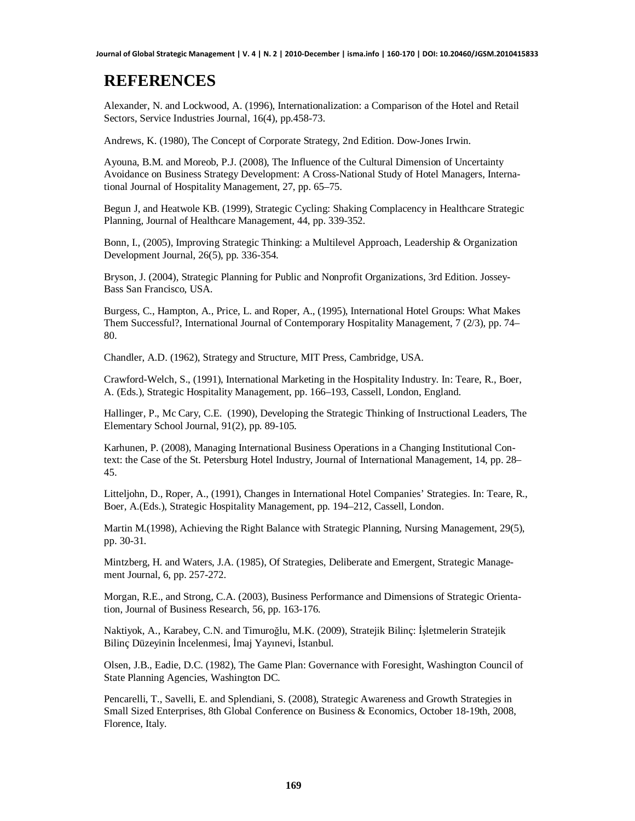#### **REFERENCES**

Alexander, N. and Lockwood, A. (1996), Internationalization: a Comparison of the Hotel and Retail Sectors, Service Industries Journal, 16(4), pp.458-73.

Andrews, K. (1980), The Concept of Corporate Strategy, 2nd Edition. Dow-Jones Irwin.

Ayouna, B.M. and Moreob, P.J. (2008), The Influence of the Cultural Dimension of Uncertainty Avoidance on Business Strategy Development: A Cross-National Study of Hotel Managers, International Journal of Hospitality Management, 27, pp. 65–75.

Begun J, and Heatwole KB. (1999), Strategic Cycling: Shaking Complacency in Healthcare Strategic Planning, Journal of Healthcare Management, 44, pp. 339-352.

Bonn, I., (2005), Improving Strategic Thinking: a Multilevel Approach, Leadership & Organization Development Journal, 26(5), pp. 336-354.

Bryson, J. (2004), Strategic Planning for Public and Nonprofit Organizations, 3rd Edition. Jossey-Bass San Francisco, USA.

Burgess, C., Hampton, A., Price, L. and Roper, A., (1995), International Hotel Groups: What Makes Them Successful?, International Journal of Contemporary Hospitality Management, 7 (2/3), pp. 74– 80.

Chandler, A.D. (1962), Strategy and Structure, MIT Press, Cambridge, USA.

Crawford-Welch, S., (1991), International Marketing in the Hospitality Industry. In: Teare, R., Boer, A. (Eds.), Strategic Hospitality Management, pp. 166–193, Cassell, London, England.

Hallinger, P., Mc Cary, C.E. (1990), Developing the Strategic Thinking of Instructional Leaders, The Elementary School Journal, 91(2), pp. 89-105.

Karhunen, P. (2008), Managing International Business Operations in a Changing Institutional Context: the Case of the St. Petersburg Hotel Industry, Journal of International Management, 14, pp. 28– 45.

Litteljohn, D., Roper, A., (1991), Changes in International Hotel Companies' Strategies. In: Teare, R., Boer, A.(Eds.), Strategic Hospitality Management, pp. 194–212, Cassell, London.

Martin M.(1998), Achieving the Right Balance with Strategic Planning, Nursing Management, 29(5), pp. 30-31.

Mintzberg, H. and Waters, J.A. (1985), Of Strategies, Deliberate and Emergent, Strategic Management Journal, 6, pp. 257-272.

Morgan, R.E., and Strong, C.A. (2003), Business Performance and Dimensions of Strategic Orientation, Journal of Business Research, 56, pp. 163-176.

Naktiyok, A., Karabey, C.N. and Timuroğlu, M.K. (2009), Stratejik Bilinç: İşletmelerin Stratejik Bilinç Düzeyinin İncelenmesi, İmaj Yayınevi, İstanbul.

Olsen, J.B., Eadie, D.C. (1982), The Game Plan: Governance with Foresight, Washington Council of State Planning Agencies, Washington DC.

Pencarelli, T., Savelli, E. and Splendiani, S. (2008), Strategic Awareness and Growth Strategies in Small Sized Enterprises, 8th Global Conference on Business & Economics, October 18-19th, 2008, Florence, Italy.